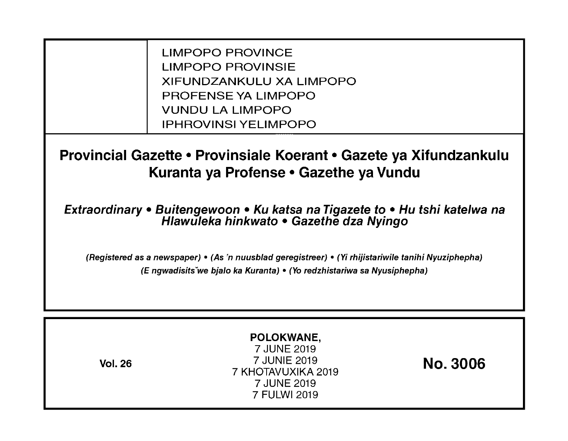LIMPOPO PROVINCE LIMPOPO PROVINSIE XIFUNDZANKULU XA LIMPOPO PROFENSE YA LIMPOPO VUNDU LA LIMPOPO IPHROVINSI YELIMPOPO

**Provincial Gazette • Provinsiale Koerant • Gazete ya Xifundzankulu Kuranta ya Profense • Gazethe ya Vundu** 

**Extraordinary • Buitengewoon • Ku katsa na Tigazete to • Hu tshi katelwa na Hlawuleka hinkwato • Gazethe dza Nyingo** 

(Registered as a newspaper) • (As 'n nuusblad geregistreer) • (Yi rhijistariwile tanihi Nyuziphepha) (E ngwadisitsVwe bjalo ka Kuranta) • (Yo redzhistariwa sa Nyusiphepha)

| POLOKWANE,<br>7 JUNE 2019<br>7 JUNIE 2019<br><b>Vol. 26</b><br>7 KHOTAVUXIKA 2019<br>7 JUNE 2019<br>7 FULWI 2019 | <b>No. 3006</b> |
|------------------------------------------------------------------------------------------------------------------|-----------------|
|------------------------------------------------------------------------------------------------------------------|-----------------|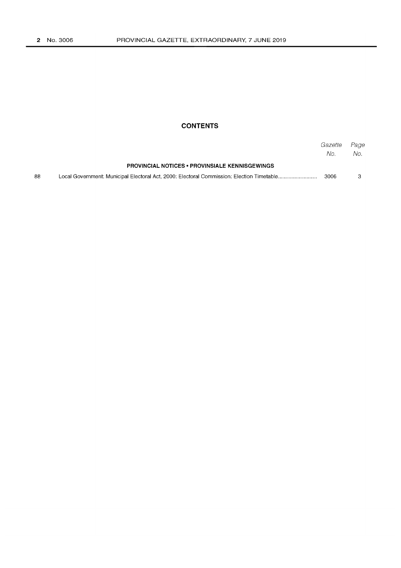### **CONTENTS**

|    |                                                       | Gazette<br>No. | Page<br>No. . |
|----|-------------------------------------------------------|----------------|---------------|
|    | <b>PROVINCIAL NOTICES • PROVINSIALE KENNISGEWINGS</b> |                |               |
| 88 |                                                       | 3006           |               |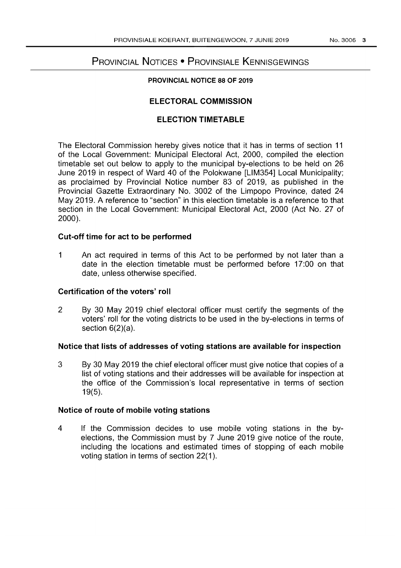# PROVINCIAL NOTICES • PROVINSIALE KENNISGEWINGS

# **PROVINCIAL NOTICE 88 OF 2019**

# **ELECTORAL COMMISSION**

# **ELECTION TIMETABLE**

**The** Electoral Commission hereby gives notice that it has in terms of section **11**  of the Local Government: Municipal Electoral Act, 2000, compiled the election timetable set out below to apply to the municipal by-elections to be held on 26 June 2019 in respect of Ward 40 of the Polokwane [LlM354] Local Municipality; as proclaimed by Provincial Notice number 83 of 2019, as published in the Provincial Gazette Extraordinary No. 3002 of the Limpopo Province, dated 24 May 2019. A reference to "section" in this election timetable is a reference to that section in the Local Government: Municipal Electoral Act, 2000 (Act No. 27 of 2000).

# **Cut-off time for act to be performed**

1 An act required in terms of this Act to be performed by not later than a date in the election timetable must be performed before 17:00 on that date, unless otherwise specified.

#### **Certification of the voters' roll**

2 By 30 May 2019 chief electoral officer must certify the segments of the voters' roll for the voting districts to be used in the by-elections in terms of section 6(2)(a).

#### **Notice that lists of addresses of voting stations are available for inspection**

3 By 30 May 2019 the chief electoral officer must give notice that copies of a list of voting stations and their addresses will be available for inspection at the office of the Commission's local representative in terms of section 19(5).

# **Notice of route of mobile voting stations**

4 If the Commission decides to use mobile voting stations in the byelections, the Commission must by 7 June 2019 give notice of the route, including the locations and estimated times of stopping of each mobile voting station in terms of section 22(1).